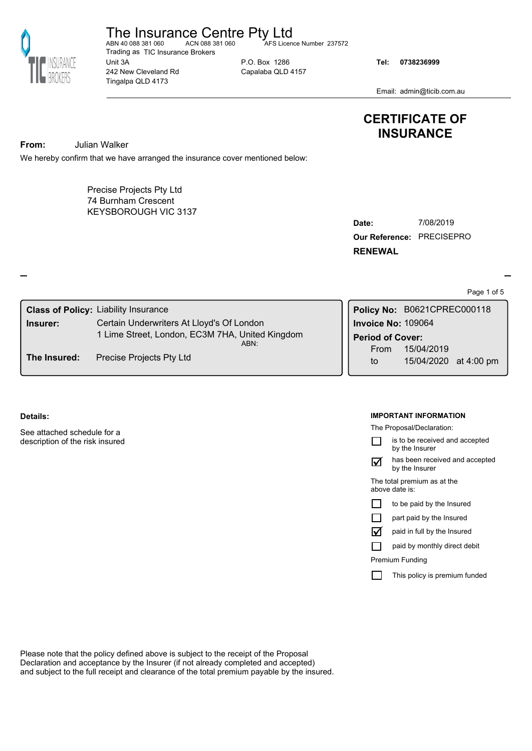

The Insurance Centre Pty Ltd<br>ABN 40 088 381 060<br>ACN 088 381 060

Unit 3A 242 New Cleveland Rd Tingalpa QLD 4173 Trading as TIC Insurance Brokers AFS Licence Number 237572

P.O. Box 1286 Capalaba QLD 4157 **Tel: 0738236999**

Email: admin@ticib.com.au

# **CERTIFICATE OF INSURANCE**

**From:** Julian Walker

We hereby confirm that we have arranged the insurance cover mentioned below:

KEYSBOROUGH VIC 3137 Precise Projects Pty Ltd 74 Burnham Crescent

**Our Reference:** PRECISEPRO **Date:** 7/08/2019 **RENEWAL**

Page 1 of 5

| <b>Class of Policy: Liability Insurance</b>      |                                                 |  | Policy No: B0621CPREC000118 |                       |  |  |
|--------------------------------------------------|-------------------------------------------------|--|-----------------------------|-----------------------|--|--|
| Insurer:                                         | Certain Underwriters At Lloyd's Of London       |  | <b>Invoice No: 109064</b>   |                       |  |  |
|                                                  | 1 Lime Street, London, EC3M 7HA, United Kingdom |  | <b>Period of Cover:</b>     |                       |  |  |
| ABN:<br>Precise Projects Pty Ltd<br>The Insured: |                                                 |  | From                        | 15/04/2019            |  |  |
|                                                  |                                                 |  | to                          | 15/04/2020 at 4:00 pm |  |  |

## **Details:**

See attached schedule for a description of the risk insured

#### **IMPORTANT INFORMATION**

The Proposal/Declaration:



has been received and accepted by the Insurer  $\boldsymbol{\mathsf \Xi}$ 

The total premium as at the above date is:

|  |  |  |  |  |  | to be paid by the Insured |
|--|--|--|--|--|--|---------------------------|
|--|--|--|--|--|--|---------------------------|

|  |  | part paid by the Insured |
|--|--|--------------------------|
|  |  |                          |

paid in full by the Insured ü

paid by monthly direct debit  $\Box$ 

Premium Funding

This policy is premium funded  $\Box$ 

Please note that the policy defined above is subject to the receipt of the Proposal Declaration and acceptance by the Insurer (if not already completed and accepted) and subject to the full receipt and clearance of the total premium payable by the insured.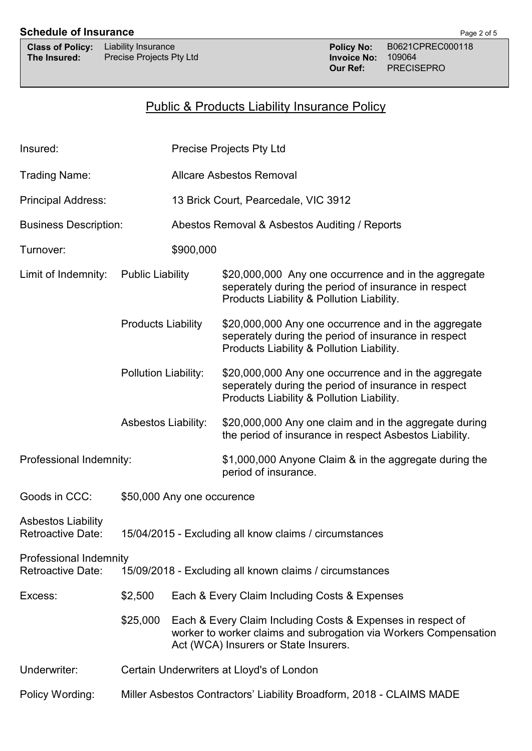# **Schedule of Insurance** Page 2 of 5

| <b>Class of Policy:</b> | Liability Insurance       |
|-------------------------|---------------------------|
| The Insured:            | <b>Precise Projects P</b> |

# Public & Products Liability Insurance Policy

| Insured:                                                                                                             |                                                                      | <b>Precise Projects Pty Ltd</b>      |                                                                                                                                                                          |  |  |  |
|----------------------------------------------------------------------------------------------------------------------|----------------------------------------------------------------------|--------------------------------------|--------------------------------------------------------------------------------------------------------------------------------------------------------------------------|--|--|--|
| Trading Name:                                                                                                        |                                                                      | <b>Allcare Asbestos Removal</b>      |                                                                                                                                                                          |  |  |  |
| <b>Principal Address:</b>                                                                                            |                                                                      | 13 Brick Court, Pearcedale, VIC 3912 |                                                                                                                                                                          |  |  |  |
| <b>Business Description:</b>                                                                                         |                                                                      |                                      | Abestos Removal & Asbestos Auditing / Reports                                                                                                                            |  |  |  |
| \$900,000<br>Turnover:                                                                                               |                                                                      |                                      |                                                                                                                                                                          |  |  |  |
| Limit of Indemnity:                                                                                                  | <b>Public Liability</b>                                              |                                      | \$20,000,000 Any one occurrence and in the aggregate<br>seperately during the period of insurance in respect<br>Products Liability & Pollution Liability.                |  |  |  |
|                                                                                                                      | <b>Products Liability</b>                                            |                                      | \$20,000,000 Any one occurrence and in the aggregate<br>seperately during the period of insurance in respect<br>Products Liability & Pollution Liability.                |  |  |  |
|                                                                                                                      | Pollution Liability:                                                 |                                      | \$20,000,000 Any one occurrence and in the aggregate<br>seperately during the period of insurance in respect<br>Products Liability & Pollution Liability.                |  |  |  |
|                                                                                                                      | <b>Asbestos Liability:</b>                                           |                                      | \$20,000,000 Any one claim and in the aggregate during<br>the period of insurance in respect Asbestos Liability.                                                         |  |  |  |
| Professional Indemnity:                                                                                              |                                                                      |                                      | \$1,000,000 Anyone Claim & in the aggregate during the<br>period of insurance.                                                                                           |  |  |  |
| Goods in CCC:                                                                                                        | \$50,000 Any one occurence                                           |                                      |                                                                                                                                                                          |  |  |  |
| <b>Asbestos Liability</b><br><b>Retroactive Date:</b>                                                                | 15/04/2015 - Excluding all know claims / circumstances               |                                      |                                                                                                                                                                          |  |  |  |
| <b>Professional Indemnity</b><br><b>Retroactive Date:</b><br>15/09/2018 - Excluding all known claims / circumstances |                                                                      |                                      |                                                                                                                                                                          |  |  |  |
| Excess:                                                                                                              | \$2,500                                                              |                                      | Each & Every Claim Including Costs & Expenses                                                                                                                            |  |  |  |
|                                                                                                                      | \$25,000                                                             |                                      | Each & Every Claim Including Costs & Expenses in respect of<br>worker to worker claims and subrogation via Workers Compensation<br>Act (WCA) Insurers or State Insurers. |  |  |  |
| Underwriter:                                                                                                         | Certain Underwriters at Lloyd's of London                            |                                      |                                                                                                                                                                          |  |  |  |
| Policy Wording:                                                                                                      | Miller Asbestos Contractors' Liability Broadform, 2018 - CLAIMS MADE |                                      |                                                                                                                                                                          |  |  |  |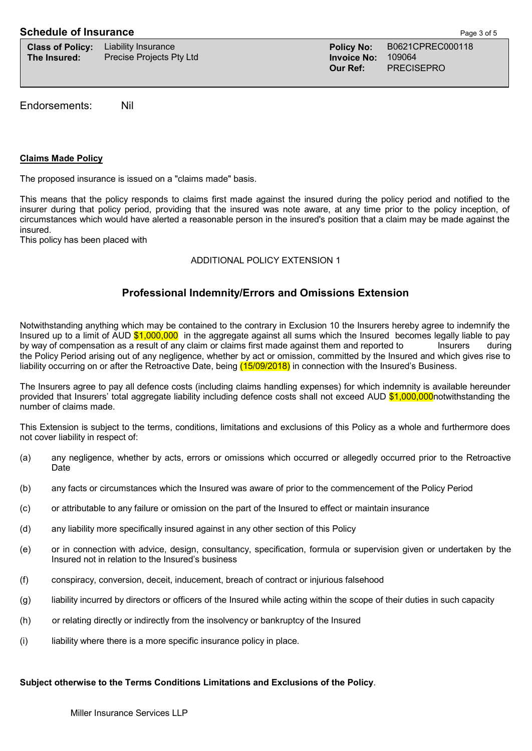| <b>Class of Policy:</b> | Liability |
|-------------------------|-----------|
| The Insured:            | Precise   |

**The Invoice No:** 1090645 Pty Ltd

Insurance **Policy No:** B0621CPREC000118<br>Proiects Ptv Ltd **Proiects** Published **Proiect Proiect Proiect** Published **Proiect** Published **Proiect** Published Published Published Published Published Published Published Publ **Our Ref:** PRECISEPRO

Endorsements: Nil

# **Claims Made Policy**

The proposed insurance is issued on a "claims made" basis.

This means that the policy responds to claims first made against the insured during the policy period and notified to the insurer during that policy period, providing that the insured was note aware, at any time prior to the policy inception, of circumstances which would have alerted a reasonable person in the insured's position that a claim may be made against the insured.

This policy has been placed with

# ADDITIONAL POLICY EXTENSION 1

# **Professional Indemnity/Errors and Omissions Extension**

Notwithstanding anything which may be contained to the contrary in Exclusion 10 the Insurers hereby agree to indemnify the Insured up to a limit of AUD \$1,000,000 in the aggregate against all sums which the Insured becomes legally liable to pay by way of compensation as a result of any claim or claims first made against them and reported to Insurers during the Policy Period arising out of any negligence, whether by act or omission, committed by the Insured and which gives rise to liability occurring on or after the Retroactive Date, being (15/09/2018) in connection with the Insured's Business.

The Insurers agree to pay all defence costs (including claims handling expenses) for which indemnity is available hereunder provided that Insurers' total aggregate liability including defence costs shall not exceed AUD \$1,000,000 notwithstanding the number of claims made.

This Extension is subject to the terms, conditions, limitations and exclusions of this Policy as a whole and furthermore does not cover liability in respect of:

- (a) any negligence, whether by acts, errors or omissions which occurred or allegedly occurred prior to the Retroactive Date
- (b) any facts or circumstances which the Insured was aware of prior to the commencement of the Policy Period
- (c) or attributable to any failure or omission on the part of the Insured to effect or maintain insurance
- (d) any liability more specifically insured against in any other section of this Policy
- (e) or in connection with advice, design, consultancy, specification, formula or supervision given or undertaken by the Insured not in relation to the Insured's business
- (f) conspiracy, conversion, deceit, inducement, breach of contract or injurious falsehood
- (g) liability incurred by directors or officers of the Insured while acting within the scope of their duties in such capacity
- (h) or relating directly or indirectly from the insolvency or bankruptcy of the Insured
- (i) liability where there is a more specific insurance policy in place.

## **Subject otherwise to the Terms Conditions Limitations and Exclusions of the Policy**.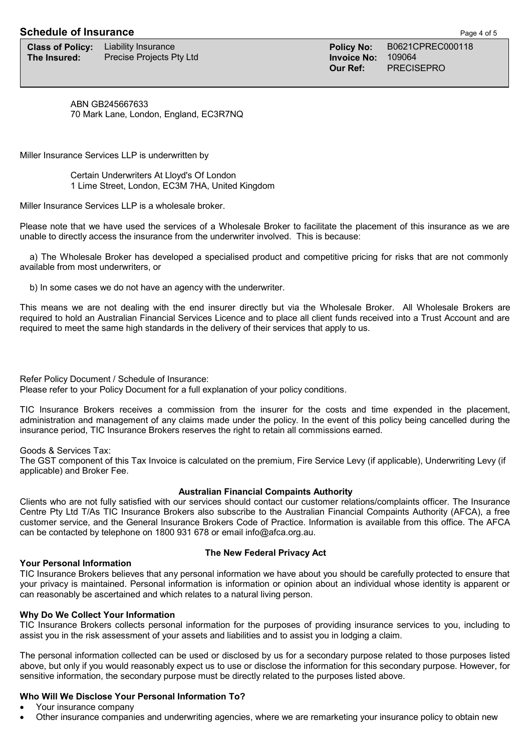# **Schedule of Insurance Page 4 of 5**

**Class of Policy:** Liability Insurance **Policy Ro:** Policy No: B0621CPREC000118<br> **The Insured:** Precise Proiects Ptv Ltd **Profession Royal Proiect Ro: 109064 The Insured:** Precise Projects Pty Ltd **Invoice No:** 109064106110661061106410611064106110641061106410611064106110641061106410611064106110641061106410611064106110641061106410611064106110641061106410611064106110641061064106

**Our Ref:** PRECISEPRO

ABN GB245667633 70 Mark Lane, London, England, EC3R7NQ

Miller Insurance Services LLP is underwritten by

Certain Underwriters At Lloyd's Of London 1 Lime Street, London, EC3M 7HA, United Kingdom

Miller Insurance Services LLP is a wholesale broker.

Please note that we have used the services of a Wholesale Broker to facilitate the placement of this insurance as we are unable to directly access the insurance from the underwriter involved. This is because:

 a) The Wholesale Broker has developed a specialised product and competitive pricing for risks that are not commonly available from most underwriters, or

b) In some cases we do not have an agency with the underwriter.

This means we are not dealing with the end insurer directly but via the Wholesale Broker. All Wholesale Brokers are required to hold an Australian Financial Services Licence and to place all client funds received into a Trust Account and are required to meet the same high standards in the delivery of their services that apply to us.

Refer Policy Document / Schedule of Insurance: Please refer to your Policy Document for a full explanation of your policy conditions.

TIC Insurance Brokers receives a commission from the insurer for the costs and time expended in the placement, administration and management of any claims made under the policy. In the event of this policy being cancelled during the insurance period, TIC Insurance Brokers reserves the right to retain all commissions earned.

Goods & Services Tax:

The GST component of this Tax Invoice is calculated on the premium, Fire Service Levy (if applicable), Underwriting Levy (if applicable) and Broker Fee.

# **Australian Financial Compaints Authority**

Clients who are not fully satisfied with our services should contact our customer relations/complaints officer. The Insurance Centre Pty Ltd T/As TIC Insurance Brokers also subscribe to the Australian Financial Compaints Authority (AFCA), a free customer service, and the General Insurance Brokers Code of Practice. Information is available from this office. The AFCA can be contacted by telephone on 1800 931 678 or email info@afca.org.au.

## **Your Personal Information**

# **The New Federal Privacy Act**

TIC Insurance Brokers believes that any personal information we have about you should be carefully protected to ensure that your privacy is maintained. Personal information is information or opinion about an individual whose identity is apparent or can reasonably be ascertained and which relates to a natural living person.

## **Why Do We Collect Your Information**

TIC Insurance Brokers collects personal information for the purposes of providing insurance services to you, including to assist you in the risk assessment of your assets and liabilities and to assist you in lodging a claim.

The personal information collected can be used or disclosed by us for a secondary purpose related to those purposes listed above, but only if you would reasonably expect us to use or disclose the information for this secondary purpose. However, for sensitive information, the secondary purpose must be directly related to the purposes listed above.

# **Who Will We Disclose Your Personal Information To?**

- Your insurance company
- Other insurance companies and underwriting agencies, where we are remarketing your insurance policy to obtain new